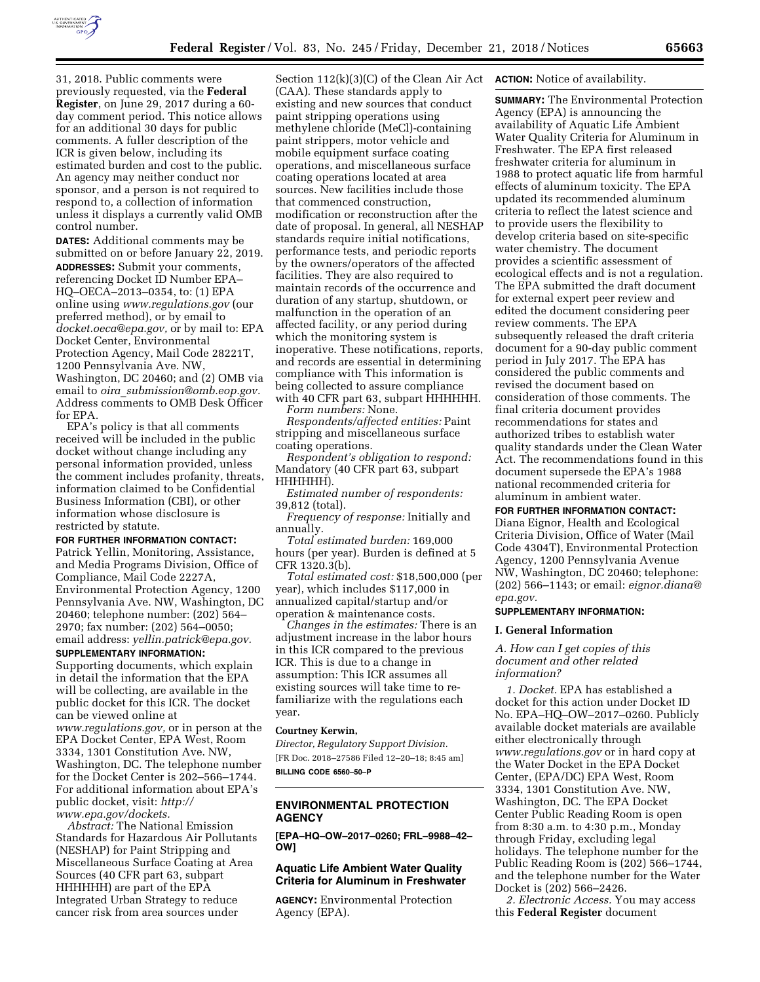

31, 2018. Public comments were previously requested, via the **Federal Register**, on June 29, 2017 during a 60 day comment period. This notice allows for an additional 30 days for public comments. A fuller description of the ICR is given below, including its estimated burden and cost to the public. An agency may neither conduct nor sponsor, and a person is not required to respond to, a collection of information unless it displays a currently valid OMB control number.

**DATES:** Additional comments may be submitted on or before January 22, 2019. **ADDRESSES:** Submit your comments, referencing Docket ID Number EPA– HQ–OECA–2013–0354, to: (1) EPA online using *[www.regulations.gov](http://www.regulations.gov)* (our preferred method), or by email to *[docket.oeca@epa.gov,](mailto:docket.oeca@epa.gov)* or by mail to: EPA Docket Center, Environmental Protection Agency, Mail Code 28221T, 1200 Pennsylvania Ave. NW, Washington, DC 20460; and (2) OMB via email to *oira*\_*[submission@omb.eop.gov.](mailto:oira_submission@omb.eop.gov)*  Address comments to OMB Desk Officer for EPA.

EPA's policy is that all comments received will be included in the public docket without change including any personal information provided, unless the comment includes profanity, threats, information claimed to be Confidential Business Information (CBI), or other information whose disclosure is restricted by statute.

### **FOR FURTHER INFORMATION CONTACT:**

Patrick Yellin, Monitoring, Assistance, and Media Programs Division, Office of Compliance, Mail Code 2227A, Environmental Protection Agency, 1200 Pennsylvania Ave. NW, Washington, DC 20460; telephone number: (202) 564– 2970; fax number: (202) 564–0050; email address: *[yellin.patrick@epa.gov.](mailto:yellin.patrick@epa.gov)* 

#### **SUPPLEMENTARY INFORMATION:**

Supporting documents, which explain in detail the information that the EPA will be collecting, are available in the public docket for this ICR. The docket can be viewed online at *[www.regulations.gov,](http://www.regulations.gov)* or in person at the EPA Docket Center, EPA West, Room 3334, 1301 Constitution Ave. NW, Washington, DC. The telephone number for the Docket Center is 202–566–1744. For additional information about EPA's public docket, visit: *[http://](http://www.epa.gov/dockets) [www.epa.gov/dockets.](http://www.epa.gov/dockets)* 

*Abstract:* The National Emission Standards for Hazardous Air Pollutants (NESHAP) for Paint Stripping and Miscellaneous Surface Coating at Area Sources (40 CFR part 63, subpart HHHHHH) are part of the EPA Integrated Urban Strategy to reduce cancer risk from area sources under

Section 112(k)(3)(C) of the Clean Air Act (CAA). These standards apply to existing and new sources that conduct paint stripping operations using methylene chloride (MeCl)-containing paint strippers, motor vehicle and mobile equipment surface coating operations, and miscellaneous surface coating operations located at area sources. New facilities include those that commenced construction, modification or reconstruction after the date of proposal. In general, all NESHAP standards require initial notifications, performance tests, and periodic reports by the owners/operators of the affected facilities. They are also required to maintain records of the occurrence and duration of any startup, shutdown, or malfunction in the operation of an affected facility, or any period during which the monitoring system is inoperative. These notifications, reports, and records are essential in determining compliance with This information is being collected to assure compliance with 40 CFR part 63, subpart HHHHHH.

*Form numbers:* None.

*Respondents/affected entities:* Paint stripping and miscellaneous surface coating operations.

*Respondent's obligation to respond:*  Mandatory (40 CFR part 63, subpart HHHHHH).

*Estimated number of respondents:*  39,812 (total).

*Frequency of response:* Initially and annually.

*Total estimated burden:* 169,000 hours (per year). Burden is defined at 5 CFR 1320.3(b).

*Total estimated cost:* \$18,500,000 (per year), which includes \$117,000 in annualized capital/startup and/or operation & maintenance costs.

*Changes in the estimates:* There is an adjustment increase in the labor hours in this ICR compared to the previous ICR. This is due to a change in assumption: This ICR assumes all existing sources will take time to refamiliarize with the regulations each year.

### **Courtney Kerwin,**

*Director, Regulatory Support Division.*  [FR Doc. 2018–27586 Filed 12–20–18; 8:45 am] **BILLING CODE 6560–50–P** 

## **ENVIRONMENTAL PROTECTION AGENCY**

**[EPA–HQ–OW–2017–0260; FRL–9988–42– OW]** 

# **Aquatic Life Ambient Water Quality Criteria for Aluminum in Freshwater**

**AGENCY:** Environmental Protection Agency (EPA).

### **ACTION:** Notice of availability.

**SUMMARY:** The Environmental Protection Agency (EPA) is announcing the availability of Aquatic Life Ambient Water Quality Criteria for Aluminum in Freshwater. The EPA first released freshwater criteria for aluminum in 1988 to protect aquatic life from harmful effects of aluminum toxicity. The EPA updated its recommended aluminum criteria to reflect the latest science and to provide users the flexibility to develop criteria based on site-specific water chemistry. The document provides a scientific assessment of ecological effects and is not a regulation. The EPA submitted the draft document for external expert peer review and edited the document considering peer review comments. The EPA subsequently released the draft criteria document for a 90-day public comment period in July 2017. The EPA has considered the public comments and revised the document based on consideration of those comments. The final criteria document provides recommendations for states and authorized tribes to establish water quality standards under the Clean Water Act. The recommendations found in this document supersede the EPA's 1988 national recommended criteria for aluminum in ambient water.

#### **FOR FURTHER INFORMATION CONTACT:**

Diana Eignor, Health and Ecological Criteria Division, Office of Water (Mail Code 4304T), Environmental Protection Agency, 1200 Pennsylvania Avenue NW, Washington, DC 20460; telephone: (202) 566–1143; or email: *[eignor.diana@](mailto:eignor.diana@epa.gov) [epa.gov.](mailto:eignor.diana@epa.gov)* 

### **SUPPLEMENTARY INFORMATION:**

#### **I. General Information**

*A. How can I get copies of this document and other related information?* 

*1. Docket.* EPA has established a docket for this action under Docket ID No. EPA–HQ–OW–2017–0260. Publicly available docket materials are available either electronically through *[www.regulations.gov](http://www.regulations.gov)* or in hard copy at the Water Docket in the EPA Docket Center, (EPA/DC) EPA West, Room 3334, 1301 Constitution Ave. NW, Washington, DC. The EPA Docket Center Public Reading Room is open from 8:30 a.m. to 4:30 p.m., Monday through Friday, excluding legal holidays. The telephone number for the Public Reading Room is (202) 566–1744, and the telephone number for the Water Docket is (202) 566–2426.

*2. Electronic Access.* You may access this **Federal Register** document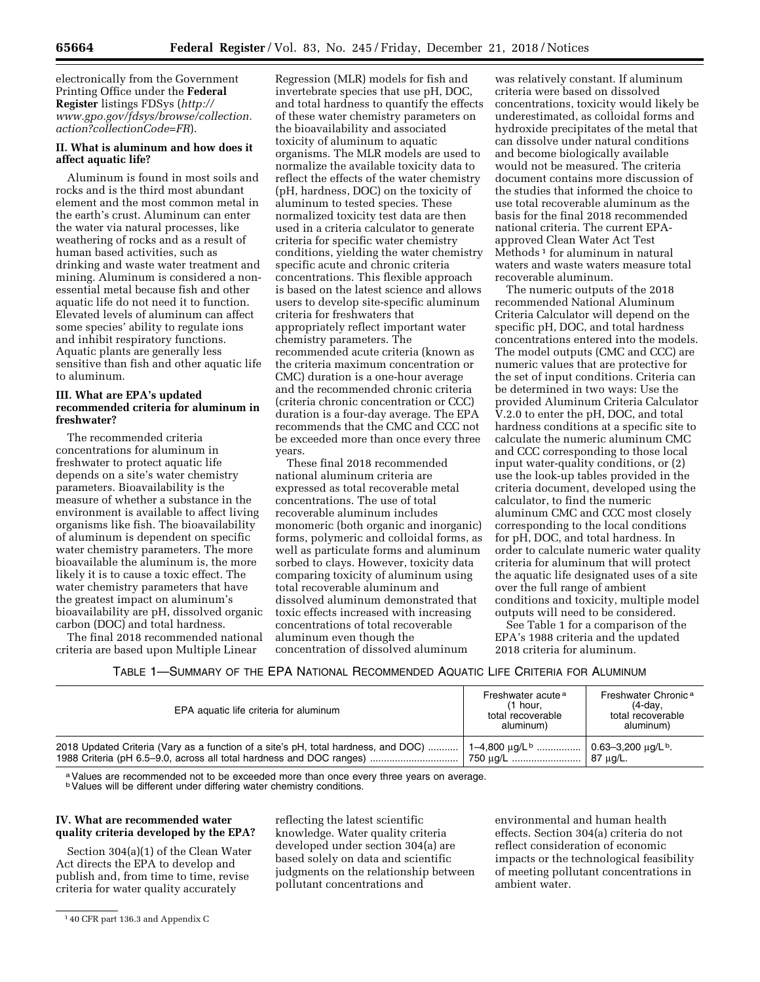electronically from the Government Printing Office under the **Federal Register** listings FDSys (*[http://](http://www.gpo.gov/fdsys/browse/collection.action?collectionCode=FR) [www.gpo.gov/fdsys/browse/collection.](http://www.gpo.gov/fdsys/browse/collection.action?collectionCode=FR) [action?collectionCode=FR](http://www.gpo.gov/fdsys/browse/collection.action?collectionCode=FR)*).

## **II. What is aluminum and how does it affect aquatic life?**

Aluminum is found in most soils and rocks and is the third most abundant element and the most common metal in the earth's crust. Aluminum can enter the water via natural processes, like weathering of rocks and as a result of human based activities, such as drinking and waste water treatment and mining. Aluminum is considered a nonessential metal because fish and other aquatic life do not need it to function. Elevated levels of aluminum can affect some species' ability to regulate ions and inhibit respiratory functions. Aquatic plants are generally less sensitive than fish and other aquatic life to aluminum.

# **III. What are EPA's updated recommended criteria for aluminum in freshwater?**

The recommended criteria concentrations for aluminum in freshwater to protect aquatic life depends on a site's water chemistry parameters. Bioavailability is the measure of whether a substance in the environment is available to affect living organisms like fish. The bioavailability of aluminum is dependent on specific water chemistry parameters. The more bioavailable the aluminum is, the more likely it is to cause a toxic effect. The water chemistry parameters that have the greatest impact on aluminum's bioavailability are pH, dissolved organic carbon (DOC) and total hardness.

The final 2018 recommended national criteria are based upon Multiple Linear

Regression (MLR) models for fish and invertebrate species that use pH, DOC, and total hardness to quantify the effects of these water chemistry parameters on the bioavailability and associated toxicity of aluminum to aquatic organisms. The MLR models are used to normalize the available toxicity data to reflect the effects of the water chemistry (pH, hardness, DOC) on the toxicity of aluminum to tested species. These normalized toxicity test data are then used in a criteria calculator to generate criteria for specific water chemistry conditions, yielding the water chemistry specific acute and chronic criteria concentrations. This flexible approach is based on the latest science and allows users to develop site-specific aluminum criteria for freshwaters that appropriately reflect important water chemistry parameters. The recommended acute criteria (known as the criteria maximum concentration or CMC) duration is a one-hour average and the recommended chronic criteria (criteria chronic concentration or CCC) duration is a four-day average. The EPA recommends that the CMC and CCC not be exceeded more than once every three years.

These final 2018 recommended national aluminum criteria are expressed as total recoverable metal concentrations. The use of total recoverable aluminum includes monomeric (both organic and inorganic) forms, polymeric and colloidal forms, as well as particulate forms and aluminum sorbed to clays. However, toxicity data comparing toxicity of aluminum using total recoverable aluminum and dissolved aluminum demonstrated that toxic effects increased with increasing concentrations of total recoverable aluminum even though the concentration of dissolved aluminum

was relatively constant. If aluminum criteria were based on dissolved concentrations, toxicity would likely be underestimated, as colloidal forms and hydroxide precipitates of the metal that can dissolve under natural conditions and become biologically available would not be measured. The criteria document contains more discussion of the studies that informed the choice to use total recoverable aluminum as the basis for the final 2018 recommended national criteria. The current EPAapproved Clean Water Act Test Methods<sup>1</sup> for aluminum in natural waters and waste waters measure total recoverable aluminum.

The numeric outputs of the 2018 recommended National Aluminum Criteria Calculator will depend on the specific pH, DOC, and total hardness concentrations entered into the models. The model outputs (CMC and CCC) are numeric values that are protective for the set of input conditions. Criteria can be determined in two ways: Use the provided Aluminum Criteria Calculator V.2.0 to enter the pH, DOC, and total hardness conditions at a specific site to calculate the numeric aluminum CMC and CCC corresponding to those local input water-quality conditions, or (2) use the look-up tables provided in the criteria document, developed using the calculator, to find the numeric aluminum CMC and CCC most closely corresponding to the local conditions for pH, DOC, and total hardness. In order to calculate numeric water quality criteria for aluminum that will protect the aquatic life designated uses of a site over the full range of ambient conditions and toxicity, multiple model outputs will need to be considered.

See Table 1 for a comparison of the EPA's 1988 criteria and the updated 2018 criteria for aluminum.

TABLE 1—SUMMARY OF THE EPA NATIONAL RECOMMENDED AQUATIC LIFE CRITERIA FOR ALUMINUM

| EPA aquatic life criteria for aluminum                                                                                                                                                                                                                     | Freshwater acute <sup>a</sup><br>$(1$ hour.<br>total recoverable<br>aluminum) | Freshwater Chronic <sup>a</sup><br>(4-day,<br>total recoverable<br>aluminum) |
|------------------------------------------------------------------------------------------------------------------------------------------------------------------------------------------------------------------------------------------------------------|-------------------------------------------------------------------------------|------------------------------------------------------------------------------|
| 2018 Updated Criteria (Vary as a function of a site's pH, total hardness, and DOC)    1–4,800 $\mu$ g/L <sup>b</sup>   0.63–3,200 $\mu$ g/L <sup>b</sup> .<br>1988 Criteria (pH 6.5–9.0, across all total hardness and DOC ranges)    750 µg/L    87 µg/L. |                                                                               |                                                                              |

a Values are recommended not to be exceeded more than once every three years on average.

**bValues will be different under differing water chemistry conditions.** 

## **IV. What are recommended water quality criteria developed by the EPA?**

Section 304(a)(1) of the Clean Water Act directs the EPA to develop and publish and, from time to time, revise criteria for water quality accurately

reflecting the latest scientific knowledge. Water quality criteria developed under section 304(a) are based solely on data and scientific judgments on the relationship between pollutant concentrations and

environmental and human health effects. Section 304(a) criteria do not reflect consideration of economic impacts or the technological feasibility of meeting pollutant concentrations in ambient water.

<sup>1</sup> 40 CFR part 136.3 and Appendix C